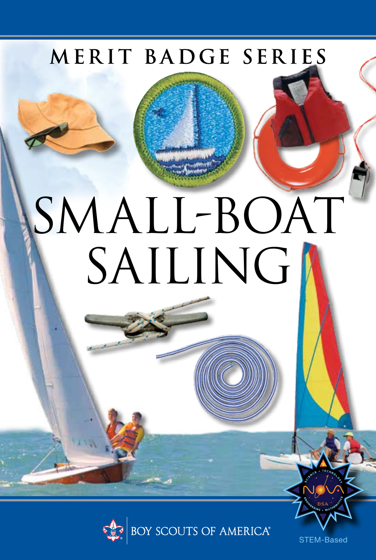## MERIT BADGE SERIES

# SMALL-BOAT SAILING



STEM-Based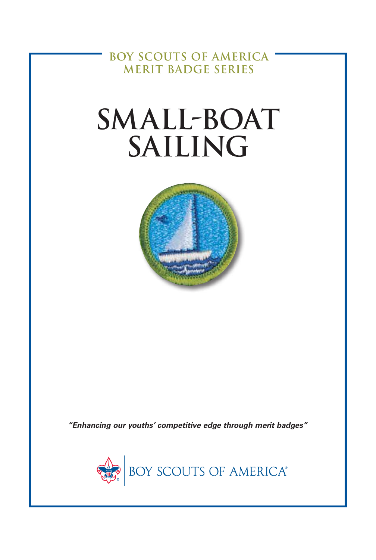**BOY SCOUTS OF AMERICA MERIT BADGE SERIES**

## **SMALL-BOAT SAILING**



*"Enhancing our youths' competitive edge through merit badges"*

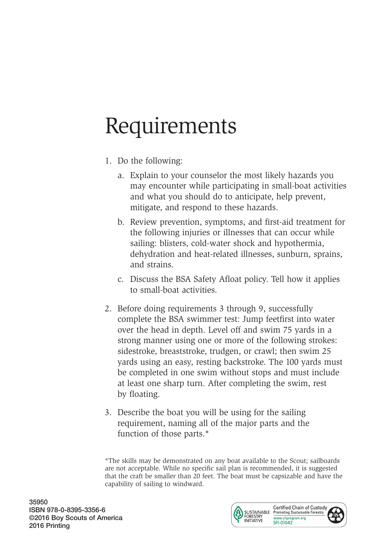## Requirements

- 1. Do the following:
	- a. Explain to your counselor the most likely hazards you may encounter while participating in small-boat activities and what you should do to anticipate, help prevent, mitigate, and respond to these hazards.
	- b. Review prevention, symptoms, and first-aid treatment for the following injuries or illnesses that can occur while sailing: blisters, cold-water shock and hypothermia, dehydration and heat-related illnesses, sunburn, sprains, and strains.
	- c. Discuss the BSA Safety Afloat policy. Tell how it applies to small-boat activities.
- 2. Before doing requirements 3 through 9, successfully complete the BSA swimmer test: Jump feetfirst into water over the head in depth. Level off and swim 75 yards in a strong manner using one or more of the following strokes: sidestroke, breaststroke, trudgen, or crawl; then swim 25 yards using an easy, resting backstroke. The 100 yards must be completed in one swim without stops and must include at least one sharp turn. After completing the swim, rest by floating.
- 3. Describe the boat you will be using for the sailing requirement, naming all of the major parts and the function of those parts.\*

\*The skills may be demonstrated on any boat available to the Scout; sailboards are not acceptable. While no specific sail plan is recommended, it is suggested that the craft be smaller than 20 feet. The boat must be capsizable and have the capability of sailing to windward.

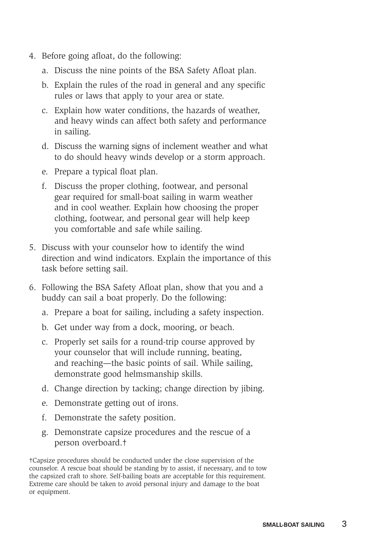- 4. Before going afloat, do the following:
	- a. Discuss the nine points of the BSA Safety Afloat plan.
	- b. Explain the rules of the road in general and any specific rules or laws that apply to your area or state.
	- c. Explain how water conditions, the hazards of weather, and heavy winds can affect both safety and performance in sailing.
	- d. Discuss the warning signs of inclement weather and what to do should heavy winds develop or a storm approach.
	- e. Prepare a typical float plan.
	- f. Discuss the proper clothing, footwear, and personal gear required for small-boat sailing in warm weather and in cool weather. Explain how choosing the proper clothing, footwear, and personal gear will help keep you comfortable and safe while sailing.
- 5. Discuss with your counselor how to identify the wind direction and wind indicators. Explain the importance of this task before setting sail.
- 6. Following the BSA Safety Afloat plan, show that you and a buddy can sail a boat properly. Do the following:
	- a. Prepare a boat for sailing, including a safety inspection.
	- b. Get under way from a dock, mooring, or beach.
	- c. Properly set sails for a round-trip course approved by your counselor that will include running, beating, and reaching—the basic points of sail. While sailing, demonstrate good helmsmanship skills.
	- d. Change direction by tacking; change direction by jibing.
	- e. Demonstrate getting out of irons.
	- f. Demonstrate the safety position.
	- g. Demonstrate capsize procedures and the rescue of a person overboard.†

†Capsize procedures should be conducted under the close supervision of the counselor. A rescue boat should be standing by to assist, if necessary, and to tow the capsized craft to shore. Self-bailing boats are acceptable for this requirement. Extreme care should be taken to avoid personal injury and damage to the boat or equipment.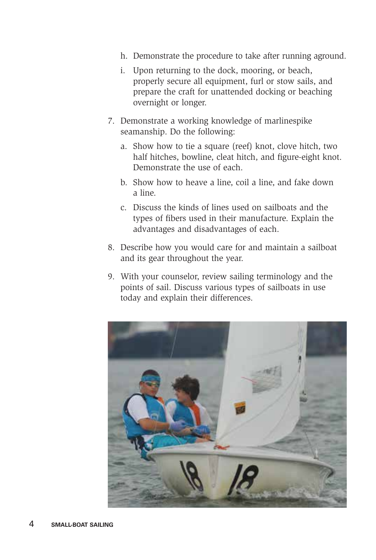- h. Demonstrate the procedure to take after running aground.
- i. Upon returning to the dock, mooring, or beach, properly secure all equipment, furl or stow sails, and prepare the craft for unattended docking or beaching overnight or longer.
- 7. Demonstrate a working knowledge of marlinespike seamanship. Do the following:
	- a. Show how to tie a square (reef) knot, clove hitch, two half hitches, bowline, cleat hitch, and figure-eight knot. Demonstrate the use of each.
	- b. Show how to heave a line, coil a line, and fake down a line.
	- c. Discuss the kinds of lines used on sailboats and the types of fibers used in their manufacture. Explain the advantages and disadvantages of each.
- 8. Describe how you would care for and maintain a sailboat and its gear throughout the year.
- 9. With your counselor, review sailing terminology and the points of sail. Discuss various types of sailboats in use today and explain their differences.

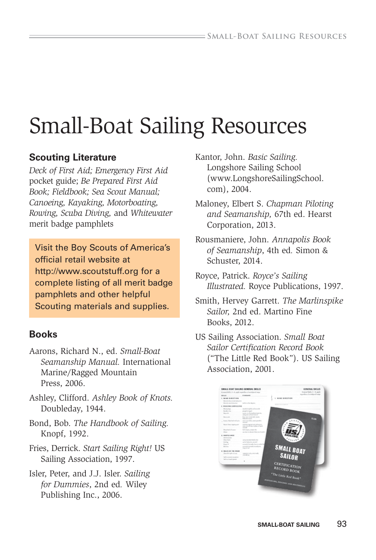## Small-Boat Sailing Resources

#### **Scouting Literature**

*Deck of First Aid; Emergency First Aid*  pocket guide; *Be Prepared First Aid Book; Fieldbook; Sea Scout Manual; Canoeing, Kayaking, Motorboating, Rowing, Scuba Diving,* and *Whitewater* merit badge pamphlets

Visit the Boy Scouts of America's official retail website at http://www.scoutstuff.org for a complete listing of all merit badge pamphlets and other helpful Scouting materials and supplies.

#### **Books**

- Aarons, Richard N., ed. *Small-Boat Seamanship Manual.* International Marine/Ragged Mountain Press, 2006.
- Ashley, Clifford. *Ashley Book of Knots.* Doubleday, 1944.
- Bond, Bob. *The Handbook of Sailing.* Knopf, 1992.
- Fries, Derrick. *Start Sailing Right!* US Sailing Association, 1997.
- Isler, Peter, and J.J. Isler. *Sailing for Dummies*, 2nd ed*.* Wiley Publishing Inc., 2006.
- Kantor, John. *Basic Sailing.* Longshore Sailing School (www.LongshoreSailingSchool. com), 2004.
- Maloney, Elbert S. *Chapman Piloting and Seamanship,* 67th ed. Hearst Corporation, 2013.
- Rousmaniere, John. *Annapolis Book of Seamanship*, 4th ed*.* Simon & Schuster, 2014.
- Royce, Patrick. *Royce's Sailing Illustrated.* Royce Publications, 1997.
- Smith, Hervey Garrett. *The Marlinspike Sailor,* 2nd ed. Martino Fine Books, 2012.
- US Sailing Association. *Small Boat Sailor Certification Record Book* ("The Little Red Book"). US Sailing Association, 2001.